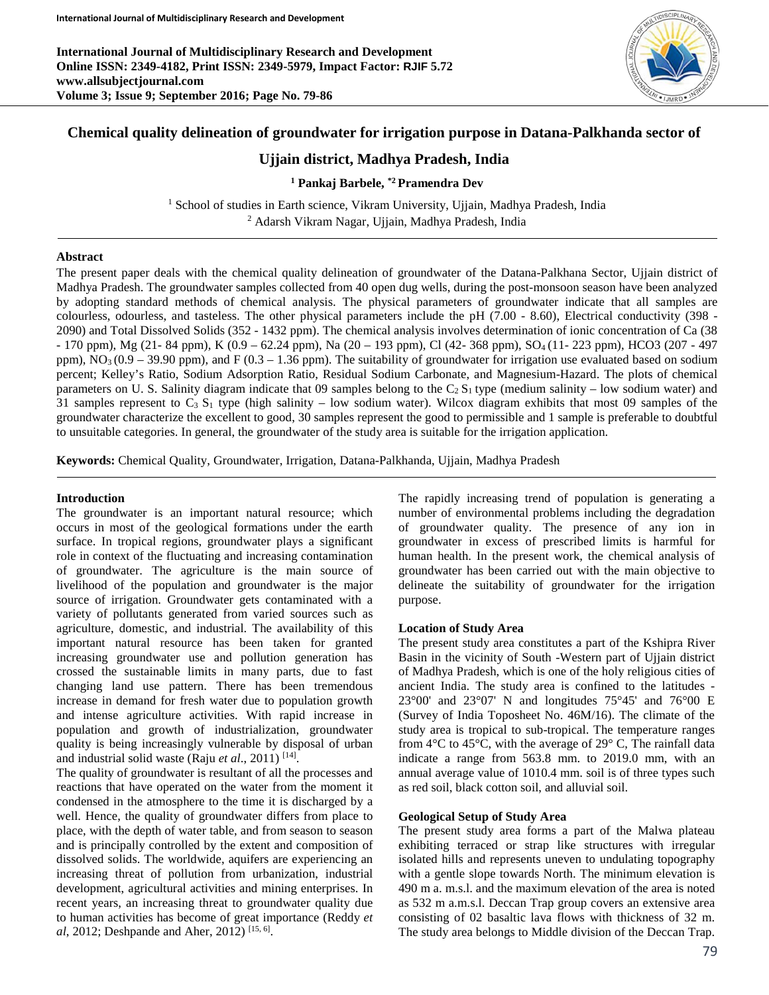**International Journal of Multidisciplinary Research and Development Online ISSN: 2349-4182, Print ISSN: 2349-5979, Impact Factor: RJIF 5.72 www.allsubjectjournal.com Volume 3; Issue 9; September 2016; Page No. 79-86**



# **Chemical quality delineation of groundwater for irrigation purpose in Datana-Palkhanda sector of**

# **Ujjain district, Madhya Pradesh, India**

## **<sup>1</sup> Pankaj Barbele, \*2 Pramendra Dev**

<sup>1</sup> School of studies in Earth science, Vikram University, Ujjain, Madhya Pradesh, India <sup>2</sup> Adarsh Vikram Nagar, Ujjain, Madhya Pradesh, India

### **Abstract**

The present paper deals with the chemical quality delineation of groundwater of the Datana-Palkhana Sector, Ujjain district of Madhya Pradesh. The groundwater samples collected from 40 open dug wells, during the post-monsoon season have been analyzed by adopting standard methods of chemical analysis. The physical parameters of groundwater indicate that all samples are colourless, odourless, and tasteless. The other physical parameters include the pH (7.00 - 8.60), Electrical conductivity (398 - 2090) and Total Dissolved Solids (352 - 1432 ppm). The chemical analysis involves determination of ionic concentration of Ca (38 - 170 ppm), Mg (21- 84 ppm), K (0.9 – 62.24 ppm), Na (20 – 193 ppm), Cl (42- 368 ppm), SO<sub>4</sub> (11- 223 ppm), HCO3 (207 - 497 ppm),  $\overline{NO_3(0.9-39.90\text{ ppm})}$ , and F (0.3 – 1.36 ppm). The suitability of groundwater for irrigation use evaluated based on sodium percent; Kelley's Ratio, Sodium Adsorption Ratio, Residual Sodium Carbonate, and Magnesium-Hazard. The plots of chemical parameters on U. S. Salinity diagram indicate that 09 samples belong to the  $C_2 S_1$  type (medium salinity – low sodium water) and 31 samples represent to  $C_3 S_1$  type (high salinity – low sodium water). Wilcox diagram exhibits that most 09 samples of the groundwater characterize the excellent to good, 30 samples represent the good to permissible and 1 sample is preferable to doubtful to unsuitable categories. In general, the groundwater of the study area is suitable for the irrigation application.

**Keywords:** Chemical Quality, Groundwater, Irrigation, Datana-Palkhanda, Ujjain, Madhya Pradesh

#### **Introduction**

The groundwater is an important natural resource; which occurs in most of the geological formations under the earth surface. In tropical regions, groundwater plays a significant role in context of the fluctuating and increasing contamination of groundwater. The agriculture is the main source of livelihood of the population and groundwater is the major source of irrigation. Groundwater gets contaminated with a variety of pollutants generated from varied sources such as agriculture, domestic, and industrial. The availability of this important natural resource has been taken for granted increasing groundwater use and pollution generation has crossed the sustainable limits in many parts, due to fast changing land use pattern. There has been tremendous increase in demand for fresh water due to population growth and intense agriculture activities. With rapid increase in population and growth of industrialization, groundwater quality is being increasingly vulnerable by disposal of urban and industrial solid waste (Raju *et al*., 2011) [14].

The quality of groundwater is resultant of all the processes and reactions that have operated on the water from the moment it condensed in the atmosphere to the time it is discharged by a well. Hence, the quality of groundwater differs from place to place, with the depth of water table, and from season to season and is principally controlled by the extent and composition of dissolved solids. The worldwide, aquifers are experiencing an increasing threat of pollution from urbanization, industrial development, agricultural activities and mining enterprises. In recent years, an increasing threat to groundwater quality due to human activities has become of great importance (Reddy *et al*, 2012; Deshpande and Aher, 2012) [15, 6].

The rapidly increasing trend of population is generating a number of environmental problems including the degradation of groundwater quality. The presence of any ion in groundwater in excess of prescribed limits is harmful for human health. In the present work, the chemical analysis of groundwater has been carried out with the main objective to delineate the suitability of groundwater for the irrigation purpose.

### **Location of Study Area**

The present study area constitutes a part of the Kshipra River Basin in the vicinity of South -Western part of Ujjain district of Madhya Pradesh, which is one of the holy religious cities of ancient India. The study area is confined to the latitudes - 23°00' and 23°07' N and longitudes 75°45' and 76°00 E (Survey of India Toposheet No. 46M/16). The climate of the study area is tropical to sub-tropical. The temperature ranges from  $4^{\circ}$ C to  $45^{\circ}$ C, with the average of  $29^{\circ}$  C, The rainfall data indicate a range from 563.8 mm. to 2019.0 mm, with an annual average value of 1010.4 mm. soil is of three types such as red soil, black cotton soil, and alluvial soil.

## **Geological Setup of Study Area**

The present study area forms a part of the Malwa plateau exhibiting terraced or strap like structures with irregular isolated hills and represents uneven to undulating topography with a gentle slope towards North. The minimum elevation is 490 m a. m.s.l. and the maximum elevation of the area is noted as 532 m a.m.s.l. Deccan Trap group covers an extensive area consisting of 02 basaltic lava flows with thickness of 32 m. The study area belongs to Middle division of the Deccan Trap.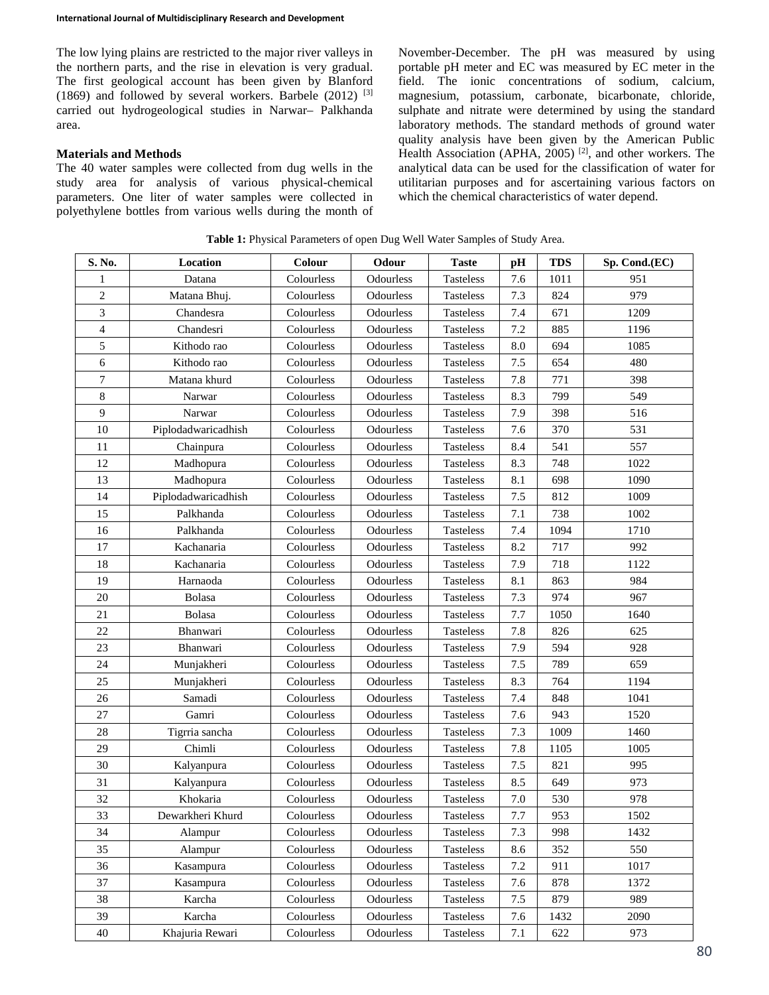The low lying plains are restricted to the major river valleys in the northern parts, and the rise in elevation is very gradual. The first geological account has been given by Blanford (1869) and followed by several workers. Barbele  $(2012)$ <sup>[3]</sup> carried out hydrogeological studies in Narwar– Palkhanda area.

## **Materials and Methods**

The 40 water samples were collected from dug wells in the study area for analysis of various physical-chemical parameters. One liter of water samples were collected in polyethylene bottles from various wells during the month of November-December. The pH was measured by using portable pH meter and EC was measured by EC meter in the field. The ionic concentrations of sodium, calcium, magnesium, potassium, carbonate, bicarbonate, chloride, sulphate and nitrate were determined by using the standard laboratory methods. The standard methods of ground water quality analysis have been given by the American Public Health Association (APHA, )<sup>[2]</sup>, and other workers. The analytical data can be used for the classification of water for utilitarian purposes and for ascertaining various factors on which the chemical characteristics of water depend.

| S. No.         | Location            | Colour     | Odour     | <b>Taste</b>     | pН      | <b>TDS</b> | Sp. Cond.(EC) |
|----------------|---------------------|------------|-----------|------------------|---------|------------|---------------|
| 1              | Datana              | Colourless | Odourless | <b>Tasteless</b> | 7.6     | 1011       | 951           |
| $\overline{c}$ | Matana Bhuj.        | Colourless | Odourless | <b>Tasteless</b> | 7.3     | 824        | 979           |
| 3              | Chandesra           | Colourless | Odourless | <b>Tasteless</b> | 7.4     | 671        | 1209          |
| $\overline{4}$ | Chandesri           | Colourless | Odourless | <b>Tasteless</b> | 7.2     | 885        | 1196          |
| 5              | Kithodo rao         | Colourless | Odourless | <b>Tasteless</b> | 8.0     | 694        | 1085          |
| 6              | Kithodo rao         | Colourless | Odourless | <b>Tasteless</b> | 7.5     | 654        | 480           |
| 7              | Matana khurd        | Colourless | Odourless | <b>Tasteless</b> | 7.8     | 771        | 398           |
| 8              | Narwar              | Colourless | Odourless | <b>Tasteless</b> | 8.3     | 799        | 549           |
| 9              | Narwar              | Colourless | Odourless | Tasteless        | 7.9     | 398        | 516           |
| 10             | Piplodadwaricadhish | Colourless | Odourless | Tasteless        | 7.6     | 370        | 531           |
| 11             | Chainpura           | Colourless | Odourless | <b>Tasteless</b> | 8.4     | 541        | 557           |
| 12             | Madhopura           | Colourless | Odourless | <b>Tasteless</b> | 8.3     | 748        | 1022          |
| 13             | Madhopura           | Colourless | Odourless | <b>Tasteless</b> | 8.1     | 698        | 1090          |
| 14             | Piplodadwaricadhish | Colourless | Odourless | <b>Tasteless</b> | 7.5     | 812        | 1009          |
| 15             | Palkhanda           | Colourless | Odourless | <b>Tasteless</b> | 7.1     | 738        | 1002          |
| 16             | Palkhanda           | Colourless | Odourless | <b>Tasteless</b> | 7.4     | 1094       | 1710          |
| 17             | Kachanaria          | Colourless | Odourless | Tasteless        | 8.2     | 717        | 992           |
| 18             | Kachanaria          | Colourless | Odourless | <b>Tasteless</b> | 7.9     | 718        | 1122          |
| 19             | Harnaoda            | Colourless | Odourless | <b>Tasteless</b> | 8.1     | 863        | 984           |
| 20             | Bolasa              | Colourless | Odourless | <b>Tasteless</b> | 7.3     | 974        | 967           |
| 21             | Bolasa              | Colourless | Odourless | <b>Tasteless</b> | 7.7     | 1050       | 1640          |
| 22             | Bhanwari            | Colourless | Odourless | <b>Tasteless</b> | 7.8     | 826        | 625           |
| 23             | Bhanwari            | Colourless | Odourless | <b>Tasteless</b> | 7.9     | 594        | 928           |
| 24             | Munjakheri          | Colourless | Odourless | Tasteless        | 7.5     | 789        | 659           |
| 25             | Munjakheri          | Colourless | Odourless | <b>Tasteless</b> | 8.3     | 764        | 1194          |
| 26             | Samadi              | Colourless | Odourless | Tasteless        | 7.4     | 848        | 1041          |
| 27             | Gamri               | Colourless | Odourless | Tasteless        | 7.6     | 943        | 1520          |
| 28             | Tigrria sancha      | Colourless | Odourless | Tasteless        | 7.3     | 1009       | 1460          |
| 29             | Chimli              | Colourless | Odourless | <b>Tasteless</b> | 7.8     | 1105       | 1005          |
| 30             | Kalyanpura          | Colourless | Odourless | <b>Tasteless</b> | 7.5     | 821        | 995           |
| 31             | Kalyanpura          | Colourless | Odourless | Tasteless        | 8.5     | 649        | 973           |
| 32             | Khokaria            | Colourless | Odourless | <b>Tasteless</b> | 7.0     | 530        | 978           |
| 33             | Dewarkheri Khurd    | Colourless | Odourless | Tasteless        | 7.7     | 953        | 1502          |
| 34             | Alampur             | Colourless | Odourless | Tasteless        | 7.3     | 998        | 1432          |
| 35             | Alampur             | Colourless | Odourless | <b>Tasteless</b> | 8.6     | 352        | 550           |
| 36             | Kasampura           | Colourless | Odourless | <b>Tasteless</b> | $7.2\,$ | 911        | 1017          |
| 37             | Kasampura           | Colourless | Odourless | <b>Tasteless</b> | $7.6\,$ | 878        | 1372          |
| 38             | Karcha              | Colourless | Odourless | <b>Tasteless</b> | $7.5\,$ | 879        | 989           |
| 39             | Karcha              | Colourless | Odourless | Tasteless        | $7.6\,$ | 1432       | 2090          |
| 40             | Khajuria Rewari     | Colourless | Odourless | <b>Tasteless</b> | $7.1\,$ | 622        | 973           |

**Table 1:** Physical Parameters of open Dug Well Water Samples of Study Area.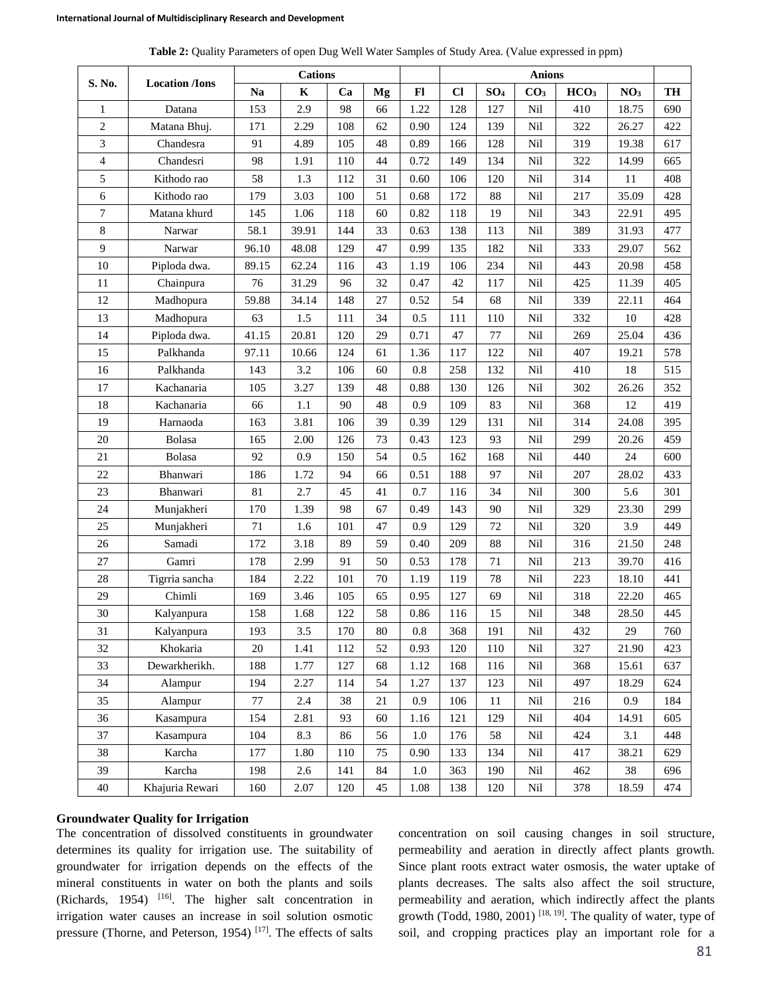| Table 2: Quality Parameters of open Dug Well Water Samples of Study Area. (Value expressed in ppm) |  |  |  |
|----------------------------------------------------------------------------------------------------|--|--|--|
|----------------------------------------------------------------------------------------------------|--|--|--|

|                | <b>Location</b> / <b>Ions</b> | <b>Cations</b> |             |     |        | <b>Anions</b> |      |                 |                 |                  |                 |     |
|----------------|-------------------------------|----------------|-------------|-----|--------|---------------|------|-----------------|-----------------|------------------|-----------------|-----|
| S. No.         |                               | <b>Na</b>      | $\mathbf K$ | Ca  | Mg     | F1            | $CI$ | SO <sub>4</sub> | CO <sub>3</sub> | HCO <sub>3</sub> | NO <sub>3</sub> | TH  |
| $\mathbf{1}$   | Datana                        | 153            | 2.9         | 98  | 66     | 1.22          | 128  | 127             | Nil             | 410              | 18.75           | 690 |
| $\overline{c}$ | Matana Bhuj.                  | 171            | 2.29        | 108 | 62     | 0.90          | 124  | 139             | Nil             | 322              | 26.27           | 422 |
| 3              | Chandesra                     | 91             | 4.89        | 105 | 48     | 0.89          | 166  | 128             | Nil             | 319              | 19.38           | 617 |
| 4              | Chandesri                     | 98             | 1.91        | 110 | 44     | 0.72          | 149  | 134             | Nil             | 322              | 14.99           | 665 |
| 5              | Kithodo rao                   | 58             | 1.3         | 112 | 31     | 0.60          | 106  | 120             | Nil             | 314              | 11              | 408 |
| 6              | Kithodo rao                   | 179            | 3.03        | 100 | 51     | 0.68          | 172  | 88              | Nil             | 217              | 35.09           | 428 |
| 7              | Matana khurd                  | 145            | 1.06        | 118 | 60     | 0.82          | 118  | 19              | Nil             | 343              | 22.91           | 495 |
| 8              | Narwar                        | 58.1           | 39.91       | 144 | 33     | 0.63          | 138  | 113             | Nil             | 389              | 31.93           | 477 |
| 9              | Narwar                        | 96.10          | 48.08       | 129 | 47     | 0.99          | 135  | 182             | Nil             | 333              | 29.07           | 562 |
| 10             | Piploda dwa.                  | 89.15          | 62.24       | 116 | 43     | 1.19          | 106  | 234             | Nil             | 443              | 20.98           | 458 |
| 11             | Chainpura                     | 76             | 31.29       | 96  | 32     | 0.47          | 42   | 117             | Nil             | 425              | 11.39           | 405 |
| 12             | Madhopura                     | 59.88          | 34.14       | 148 | 27     | 0.52          | 54   | 68              | Nil             | 339              | 22.11           | 464 |
| 13             | Madhopura                     | 63             | 1.5         | 111 | 34     | 0.5           | 111  | 110             | Nil             | 332              | $10\,$          | 428 |
| 14             | Piploda dwa.                  | 41.15          | 20.81       | 120 | 29     | 0.71          | 47   | 77              | Nil             | 269              | 25.04           | 436 |
| 15             | Palkhanda                     | 97.11          | 10.66       | 124 | 61     | 1.36          | 117  | 122             | Nil             | 407              | 19.21           | 578 |
| 16             | Palkhanda                     | 143            | 3.2         | 106 | 60     | 0.8           | 258  | 132             | Nil             | 410              | 18              | 515 |
| 17             | Kachanaria                    | 105            | 3.27        | 139 | 48     | 0.88          | 130  | 126             | Nil             | 302              | 26.26           | 352 |
| 18             | Kachanaria                    | 66             | $1.1\,$     | 90  | 48     | 0.9           | 109  | 83              | Nil             | 368              | 12              | 419 |
| 19             | Harnaoda                      | 163            | 3.81        | 106 | 39     | 0.39          | 129  | 131             | Nil             | 314              | 24.08           | 395 |
| 20             | Bolasa                        | 165            | 2.00        | 126 | 73     | 0.43          | 123  | 93              | Nil             | 299              | 20.26           | 459 |
| 21             | Bolasa                        | 92             | 0.9         | 150 | 54     | 0.5           | 162  | 168             | Nil             | 440              | 24              | 600 |
| 22             | Bhanwari                      | 186            | 1.72        | 94  | 66     | 0.51          | 188  | 97              | Nil             | 207              | 28.02           | 433 |
| 23             | Bhanwari                      | 81             | 2.7         | 45  | 41     | 0.7           | 116  | 34              | Nil             | 300              | 5.6             | 301 |
| 24             | Munjakheri                    | 170            | 1.39        | 98  | 67     | 0.49          | 143  | 90              | Nil             | 329              | 23.30           | 299 |
| 25             | Munjakheri                    | 71             | 1.6         | 101 | 47     | 0.9           | 129  | 72              | Nil             | 320              | 3.9             | 449 |
| 26             | Samadi                        | 172            | 3.18        | 89  | 59     | 0.40          | 209  | 88              | Nil             | 316              | 21.50           | 248 |
| 27             | Gamri                         | 178            | 2.99        | 91  | 50     | 0.53          | 178  | 71              | Nil             | 213              | 39.70           | 416 |
| 28             | Tigrria sancha                | 184            | 2.22        | 101 | 70     | 1.19          | 119  | 78              | Nil             | 223              | 18.10           | 441 |
| 29             | Chimli                        | 169            | 3.46        | 105 | 65     | 0.95          | 127  | 69              | Nil             | 318              | 22.20           | 465 |
| 30             | Kalyanpura                    | 158            | 1.68        | 122 | 58     | 0.86          | 116  | 15              | Nil             | 348              | 28.50           | 445 |
| 31             | Kalyanpura                    | 193            | $3.5$       | 170 | 80     | $\rm 0.8$     | 368  | 191             | Nil             | 432              | 29              | 760 |
| 32             | Khokaria                      | $20\,$         | 1.41        | 112 | 52     | 0.93          | 120  | 110             | Nil             | 327              | 21.90           | 423 |
| 33             | Dewarkherikh.                 | 188            | 1.77        | 127 | 68     | 1.12          | 168  | 116             | Nil             | 368              | 15.61           | 637 |
| 34             | Alampur                       | 194            | 2.27        | 114 | 54     | 1.27          | 137  | 123             | Nil             | 497              | 18.29           | 624 |
| 35             | Alampur                       | 77             | 2.4         | 38  | 21     | 0.9           | 106  | 11              | Nil             | 216              | 0.9             | 184 |
| 36             | Kasampura                     | 154            | 2.81        | 93  | 60     | 1.16          | 121  | 129             | Nil             | 404              | 14.91           | 605 |
| 37             | Kasampura                     | 104            | 8.3         | 86  | 56     | 1.0           | 176  | 58              | Nil             | 424              | 3.1             | 448 |
| 38             | Karcha                        | 177            | 1.80        | 110 | 75     | 0.90          | 133  | 134             | Nil             | 417              | 38.21           | 629 |
| 39             | Karcha                        | 198            | $2.6\,$     | 141 | 84     | $1.0\,$       | 363  | 190             | Nil             | 462              | 38              | 696 |
| $40\,$         | Khajuria Rewari               | 160            | 2.07        | 120 | $45\,$ | 1.08          | 138  | 120             | Nil             | 378              | 18.59           | 474 |

#### **Groundwater Quality for Irrigation**

The concentration of dissolved constituents in groundwater determines its quality for irrigation use. The suitability of groundwater for irrigation depends on the effects of the mineral constituents in water on both the plants and soils (Richards, 1954) [16]. The higher salt concentration in irrigation water causes an increase in soil solution osmotic pressure (Thorne, and Peterson, 1954)<sup>[17]</sup>. The effects of salts concentration on soil causing changes in soil structure, permeability and aeration in directly affect plants growth. Since plant roots extract water osmosis, the water uptake of plants decreases. The salts also affect the soil structure, permeability and aeration, which indirectly affect the plants growth (Todd, 1980, 2001) [18, 19]. The quality of water, type of soil, and cropping practices play an important role for a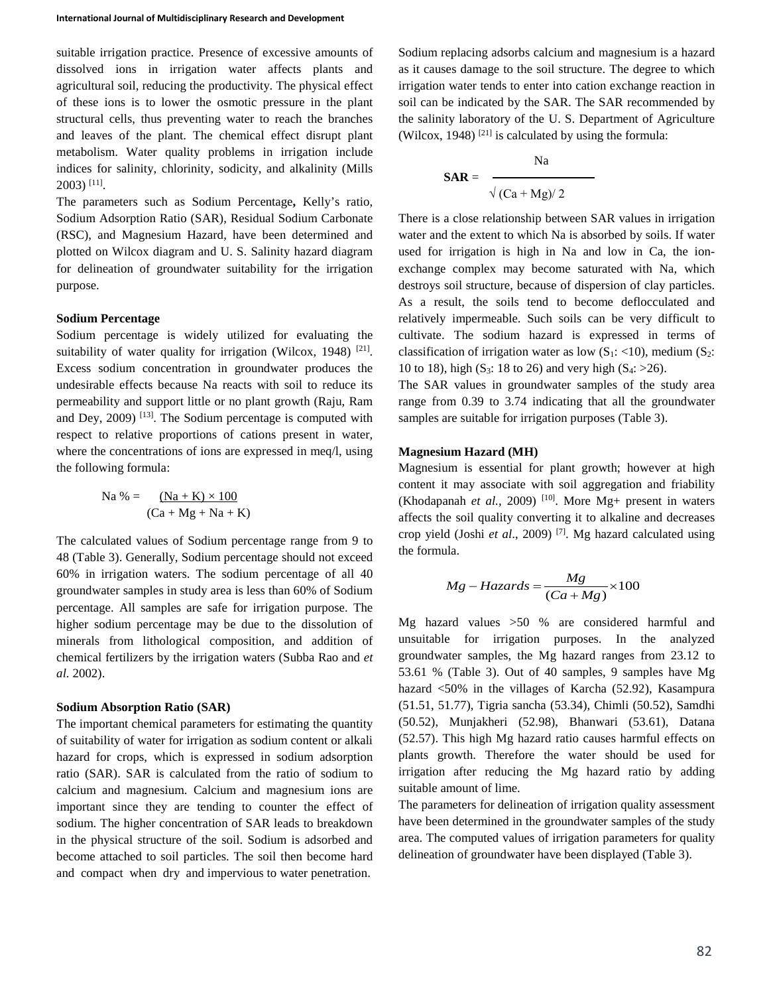suitable irrigation practice. Presence of excessive amounts of dissolved ions in irrigation water affects plants and agricultural soil, reducing the productivity. The physical effect of these ions is to lower the osmotic pressure in the plant structural cells, thus preventing water to reach the branches and leaves of the plant. The chemical effect disrupt plant metabolism. Water quality problems in irrigation include indices for salinity, chlorinity, sodicity, and alkalinity (Mills 2003) [11].

The parameters such as Sodium Percentage**,** Kelly's ratio, Sodium Adsorption Ratio (SAR), Residual Sodium Carbonate (RSC), and Magnesium Hazard, have been determined and plotted on Wilcox diagram and U. S. Salinity hazard diagram for delineation of groundwater suitability for the irrigation purpose.

## **Sodium Percentage**

Sodium percentage is widely utilized for evaluating the suitability of water quality for irrigation (Wilcox, 1948)  $[21]$ . Excess sodium concentration in groundwater produces the undesirable effects because Na reacts with soil to reduce its permeability and support little or no plant growth (Raju, Ram and Dey,  $2009$  [13]. The Sodium percentage is computed with respect to relative proportions of cations present in water, where the concentrations of ions are expressed in meq/l, using the following formula:

$$
Na\% = \frac{(Na + K) \times 100}{(Ca + Mg + Na + K)}
$$

The calculated values of Sodium percentage range from 9 to 48 (Table 3). Generally, Sodium percentage should not exceed 60% in irrigation waters. The sodium percentage of all 40 groundwater samples in study area is less than 60% of Sodium percentage. All samples are safe for irrigation purpose. The higher sodium percentage may be due to the dissolution of minerals from lithological composition, and addition of chemical fertilizers by the irrigation waters (Subba Rao and *et al*. 2002).

### **Sodium Absorption Ratio (SAR)**

The important chemical parameters for estimating the quantity of suitability of water for irrigation as sodium content or alkali hazard for crops, which is expressed in sodium adsorption ratio (SAR). SAR is calculated from the ratio of sodium to calcium and magnesium. Calcium and magnesium ions are important since they are tending to counter the effect of sodium. The higher concentration of SAR leads to breakdown in the physical structure of the soil. Sodium is adsorbed and become attached to soil particles. The soil then become hard and compact when dry and impervious to water penetration.

Sodium replacing adsorbs calcium and magnesium is a hazard as it causes damage to the soil structure. The degree to which irrigation water tends to enter into cation exchange reaction in soil can be indicated by the SAR. The SAR recommended by the salinity laboratory of the U. S. Department of Agriculture (Wilcox, 1948) <sup>[21]</sup> is calculated by using the formula:

$$
SAR = \frac{Na}{\sqrt{(Ca + Mg)/2}}
$$

There is a close relationship between SAR values in irrigation water and the extent to which Na is absorbed by soils. If water used for irrigation is high in Na and low in Ca, the ionexchange complex may become saturated with Na, which destroys soil structure, because of dispersion of clay particles. As a result, the soils tend to become deflocculated and relatively impermeable. Such soils can be very difficult to cultivate. The sodium hazard is expressed in terms of classification of irrigation water as low  $(S_1: \langle 10 \rangle)$ , medium  $(S_2:$ 10 to 18), high (S<sub>3</sub>: 18 to 26) and very high (S<sub>4</sub>:  $>26$ ).

The SAR values in groundwater samples of the study area range from 0.39 to 3.74 indicating that all the groundwater samples are suitable for irrigation purposes (Table 3).

#### **Magnesium Hazard (MH)**

Magnesium is essential for plant growth; however at high content it may associate with soil aggregation and friability (Khodapanah *et al.*, 2009) <sup>[10]</sup>. More Mg+ present in waters affects the soil quality converting it to alkaline and decreases crop yield (Joshi *et al*., 2009) [7]. Mg hazard calculated using the formula.

$$
Mg - Hazards = \frac{Mg}{(Ca + Mg)} \times 100
$$

Mg hazard values >50 % are considered harmful and unsuitable for irrigation purposes. In the analyzed groundwater samples, the Mg hazard ranges from 23.12 to 53.61 % (Table 3). Out of 40 samples, 9 samples have Mg hazard <50% in the villages of Karcha (52.92), Kasampura (51.51, 51.77), Tigria sancha (53.34), Chimli (50.52), Samdhi (50.52), Munjakheri (52.98), Bhanwari (53.61), Datana (52.57). This high Mg hazard ratio causes harmful effects on plants growth. Therefore the water should be used for irrigation after reducing the Mg hazard ratio by adding suitable amount of lime.

The parameters for delineation of irrigation quality assessment have been determined in the groundwater samples of the study area. The computed values of irrigation parameters for quality delineation of groundwater have been displayed (Table 3).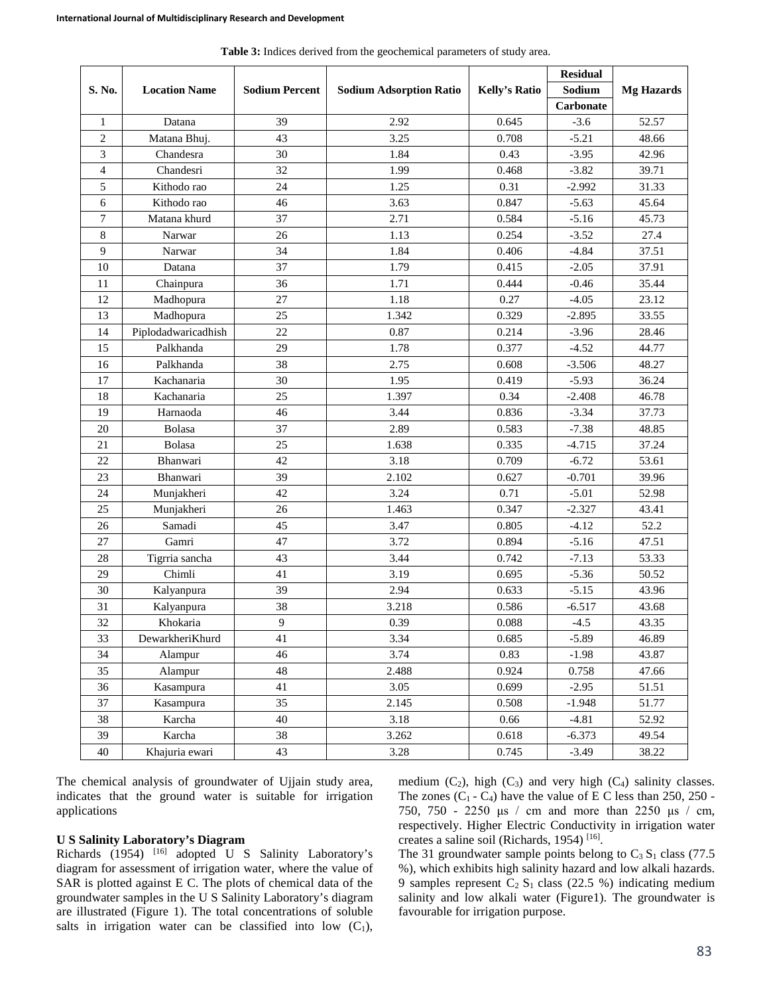|                                |                     |                       |                                |                      | <b>Residual</b> |                   |  |
|--------------------------------|---------------------|-----------------------|--------------------------------|----------------------|-----------------|-------------------|--|
| S. No.<br><b>Location Name</b> |                     | <b>Sodium Percent</b> | <b>Sodium Adsorption Ratio</b> | <b>Kelly's Ratio</b> | Sodium          | <b>Mg Hazards</b> |  |
|                                |                     |                       |                                |                      | Carbonate       |                   |  |
| 1                              | Datana              | 39                    | 2.92                           | 0.645                | $-3.6$          | 52.57             |  |
| $\overline{c}$                 | Matana Bhuj.        | 43                    | 3.25                           | 0.708                | $-5.21$         | 48.66             |  |
| 3                              | Chandesra           | 30                    | 1.84                           | 0.43                 | $-3.95$         | 42.96             |  |
| 4                              | Chandesri           | 32                    | 1.99                           | 0.468                | $-3.82$         | 39.71             |  |
| 5                              | Kithodo rao         | 24                    | 1.25                           | 0.31                 | $-2.992$        | 31.33             |  |
| 6                              | Kithodo rao         | 46                    | 3.63                           | 0.847                | $-5.63$         | 45.64             |  |
| $\tau$                         | Matana khurd        | 37                    | 2.71                           | 0.584                | $-5.16$         | 45.73             |  |
| 8                              | Narwar              | 26                    | 1.13                           | 0.254                | $-3.52$         | 27.4              |  |
| 9                              | Narwar              | 34                    | 1.84                           | 0.406                | $-4.84$         | 37.51             |  |
| 10                             | Datana              | 37                    | 1.79                           | 0.415                | $-2.05$         | 37.91             |  |
| 11                             | Chainpura           | 36                    | 1.71                           | 0.444                | $-0.46$         | 35.44             |  |
| 12                             | Madhopura           | 27                    | 1.18                           | 0.27                 | $-4.05$         | 23.12             |  |
| 13                             | Madhopura           | 25                    | 1.342                          | 0.329                | $-2.895$        | 33.55             |  |
| 14                             | Piplodadwaricadhish | 22                    | 0.87                           | 0.214                | $-3.96$         | 28.46             |  |
| 15                             | Palkhanda           | 29                    | 1.78                           | 0.377                | $-4.52$         | 44.77             |  |
| 16                             | Palkhanda           | 38                    | 2.75                           | 0.608                | $-3.506$        | 48.27             |  |
| 17                             | Kachanaria          | 30                    | 1.95                           | 0.419                | $-5.93$         | 36.24             |  |
| 18                             | Kachanaria          | 25                    | 1.397                          | 0.34                 | $-2.408$        | 46.78             |  |
| 19                             | Harnaoda            | 46                    | 3.44                           | 0.836                | $-3.34$         | 37.73             |  |
| 20                             | Bolasa              | 37                    | 2.89                           | 0.583                | $-7.38$         | 48.85             |  |
| 21                             | Bolasa              | 25                    | 1.638                          | 0.335                | $-4.715$        | 37.24             |  |
| 22                             | Bhanwari            | 42                    | 3.18                           | 0.709                | $-6.72$         | 53.61             |  |
| 23                             | Bhanwari            | 39                    | 2.102                          | 0.627                | $-0.701$        | 39.96             |  |
| 24                             | Munjakheri          | 42                    | 3.24                           | 0.71                 | $-5.01$         | 52.98             |  |
| 25                             | Munjakheri          | 26                    | 1.463                          | 0.347                | $-2.327$        | 43.41             |  |
| 26                             | Samadi              | 45                    | 3.47                           | 0.805                | $-4.12$         | 52.2              |  |
| 27                             | Gamri               | 47                    | 3.72                           | 0.894                | $-5.16$         | 47.51             |  |
| 28                             | Tigrria sancha      | 43                    | 3.44                           | 0.742                | $-7.13$         | 53.33             |  |
| 29                             | Chimli              | 41                    | 3.19                           | 0.695                | $-5.36$         | 50.52             |  |
| 30                             | Kalyanpura          | 39                    | 2.94                           | 0.633                | $-5.15$         | 43.96             |  |
| 31                             | Kalyanpura          | 38                    | 3.218                          | 0.586                | $-6.517$        | 43.68             |  |
| 32                             | Khokaria            | 9                     | 0.39                           | 0.088                | $-4.5$          | 43.35             |  |
| 33                             | DewarkheriKhurd     | 41                    | 3.34                           | 0.685                | $-5.89$         | 46.89             |  |
| 34                             | Alampur             | 46                    | 3.74                           | 0.83                 | $-1.98$         | 43.87             |  |
| 35                             | Alampur             | 48                    | 2.488                          | 0.924                | 0.758           | 47.66             |  |
| 36                             | Kasampura           | 41                    | 3.05                           | 0.699                | $-2.95$         | 51.51             |  |
| 37                             | Kasampura           | 35                    | 2.145                          | 0.508                | $-1.948$        | 51.77             |  |
| 38                             | Karcha              | 40                    | 3.18                           | 0.66                 | $-4.81$         | 52.92             |  |
| 39                             | Karcha              | 38                    | 3.262                          | 0.618                | $-6.373$        | 49.54             |  |
| 40                             | Khajuria ewari      | 43                    | 3.28                           | 0.745                | $-3.49$         | 38.22             |  |

**Table 3:** Indices derived from the geochemical parameters of study area.

The chemical analysis of groundwater of Ujjain study area, indicates that the ground water is suitable for irrigation applications

### **U S Salinity Laboratory's Diagram**

Richards (1954) <sup>[16]</sup> adopted U S Salinity Laboratory's diagram for assessment of irrigation water, where the value of SAR is plotted against E C. The plots of chemical data of the groundwater samples in the U S Salinity Laboratory's diagram are illustrated (Figure 1). The total concentrations of soluble salts in irrigation water can be classified into low  $(C_1)$ ,

medium  $(C_2)$ , high  $(C_3)$  and very high  $(C_4)$  salinity classes. The zones  $(C_1 - C_4)$  have the value of E C less than 250, 250 -750, 750 - 2250 μs / cm and more than 2250 μs / cm, respectively. Higher Electric Conductivity in irrigation water creates a saline soil (Richards, 1954) [16].

The 31 groundwater sample points belong to  $C_3 S_1$  class (77.5) %), which exhibits high salinity hazard and low alkali hazards. 9 samples represent  $C_2 S_1$  class (22.5 %) indicating medium salinity and low alkali water (Figure1). The groundwater is favourable for irrigation purpose.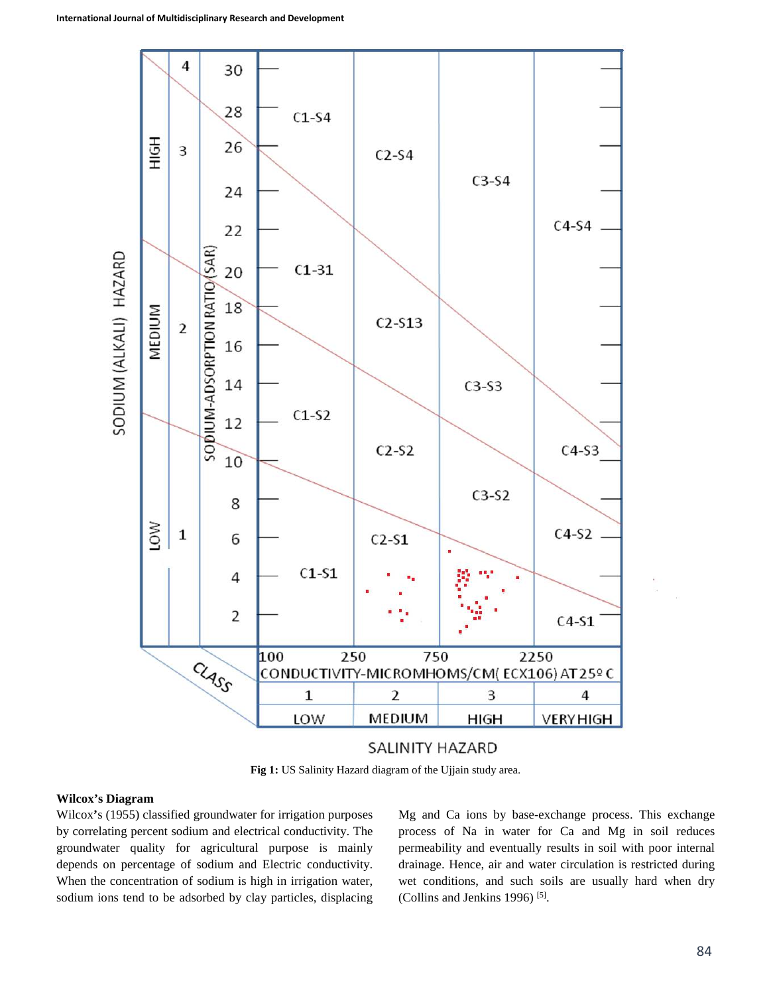

**Fig 1:** US Salinity Hazard diagram of the Ujjain study area.

### **Wilcox's Diagram**

Wilcox**'**s (1955) classified groundwater for irrigation purposes by correlating percent sodium and electrical conductivity. The groundwater quality for agricultural purpose is mainly depends on percentage of sodium and Electric conductivity. When the concentration of sodium is high in irrigation water, sodium ions tend to be adsorbed by clay particles, displacing

Mg and Ca ions by base-exchange process. This exchange process of Na in water for Ca and Mg in soil reduces permeability and eventually results in soil with poor internal drainage. Hence, air and water circulation is restricted during wet conditions, and such soils are usually hard when dry (Collins and Jenkins 1996) [5].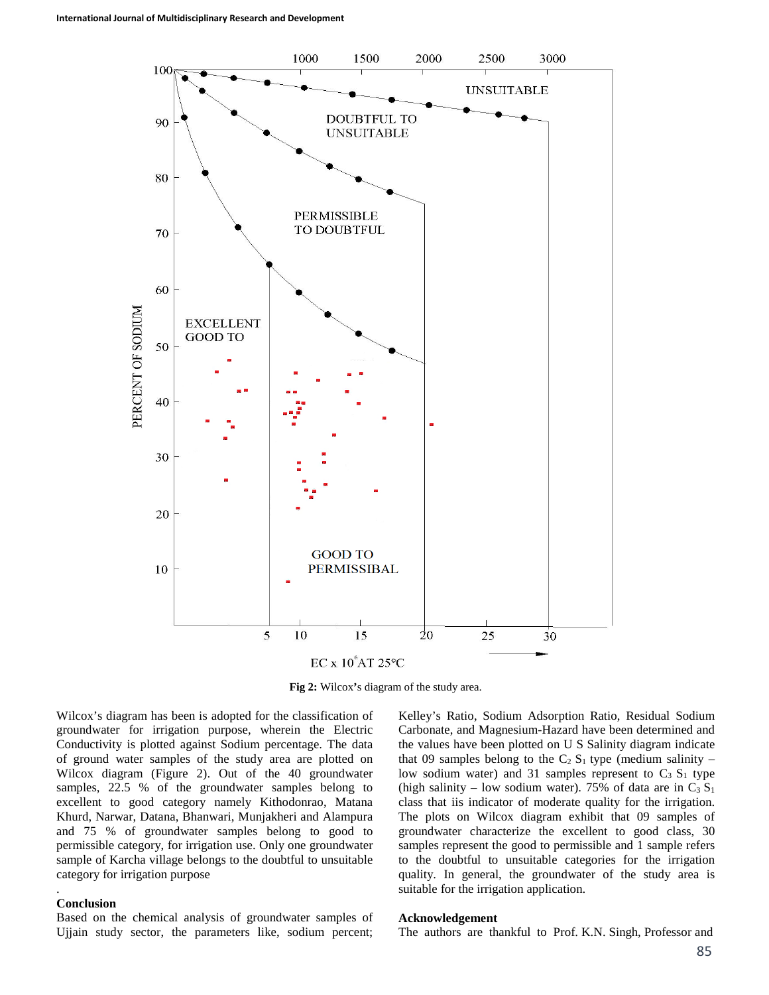

**Fig 2:** Wilcox**'**s diagram of the study area.

Wilcox's diagram has been is adopted for the classification of groundwater for irrigation purpose, wherein the Electric Conductivity is plotted against Sodium percentage. The data of ground water samples of the study area are plotted on Wilcox diagram (Figure 2). Out of the 40 groundwater samples, 22.5 % of the groundwater samples belong to excellent to good category namely Kithodonrao, Matana Khurd, Narwar, Datana, Bhanwari, Munjakheri and Alampura and 75 % of groundwater samples belong to good to permissible category, for irrigation use. Only one groundwater sample of Karcha village belongs to the doubtful to unsuitable category for irrigation purpose

#### **Conclusion**

.

Based on the chemical analysis of groundwater samples of Ujjain study sector, the parameters like, sodium percent;

Kelley's Ratio, Sodium Adsorption Ratio, Residual Sodium Carbonate, and Magnesium-Hazard have been determined and the values have been plotted on U S Salinity diagram indicate that 09 samples belong to the  $C_2 S_1$  type (medium salinity – low sodium water) and 31 samples represent to  $C_3 S_1$  type (high salinity – low sodium water). 75% of data are in  $C_3 S_1$ class that iis indicator of moderate quality for the irrigation. The plots on Wilcox diagram exhibit that 09 samples of groundwater characterize the excellent to good class, 30 samples represent the good to permissible and 1 sample refers to the doubtful to unsuitable categories for the irrigation quality. In general, the groundwater of the study area is suitable for the irrigation application.

#### **Acknowledgement**

The authors are thankful to Prof. K.N. Singh, Professor and